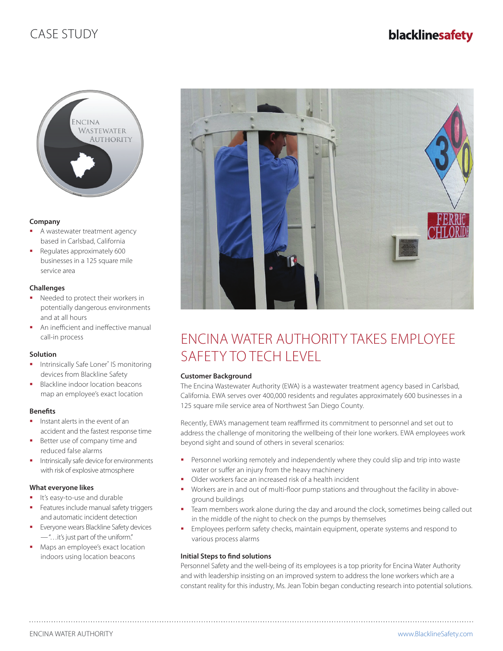## CASE STUDY



### **Company**

- A wastewater treatment agency based in Carlsbad, California
- Regulates approximately 600 businesses in a 125 square mile service area

### **Challenges**

- Needed to protect their workers in potentially dangerous environments and at all hours
- An inefficient and ineffective manual call-in process

### **Solution**

- **Intrinsically Safe Loner<sup>®</sup> IS monitoring** devices from Blackline Safety
- Blackline indoor location beacons map an employee's exact location

### **Benefits**

- $\blacksquare$  Instant alerts in the event of an accident and the fastest response time
- Better use of company time and reduced false alarms
- Intrinsically safe device for environments with risk of explosive atmosphere

### **What everyone likes**

- It's easy-to-use and durable
- Features include manual safety triggers and automatic incident detection
- Everyone wears Blackline Safety devices — "…it's just part of the uniform."
- Maps an employee's exact location indoors using location beacons



# ENCINA WATER AUTHORITY TAKES EMPLOYEE SAFETY TO TECH LEVEL

### **Customer Background**

The Encina Wastewater Authority (EWA) is a wastewater treatment agency based in Carlsbad, California. EWA serves over 400,000 residents and regulates approximately 600 businesses in a 125 square mile service area of Northwest San Diego County.

Recently, EWA's management team reaffirmed its commitment to personnel and set out to address the challenge of monitoring the wellbeing of their lone workers. EWA employees work beyond sight and sound of others in several scenarios:

- **Personnel working remotely and independently where they could slip and trip into waste** water or suffer an injury from the heavy machinery
- Older workers face an increased risk of a health incident
- Workers are in and out of multi-floor pump stations and throughout the facility in aboveground buildings
- Team members work alone during the day and around the clock, sometimes being called out in the middle of the night to check on the pumps by themselves
- **Employees perform safety checks, maintain equipment, operate systems and respond to** various process alarms

### **Initial Steps to find solutions**

Personnel Safety and the well-being of its employees is a top priority for Encina Water Authority and with leadership insisting on an improved system to address the lone workers which are a constant reality for this industry, Ms. Jean Tobin began conducting research into potential solutions.